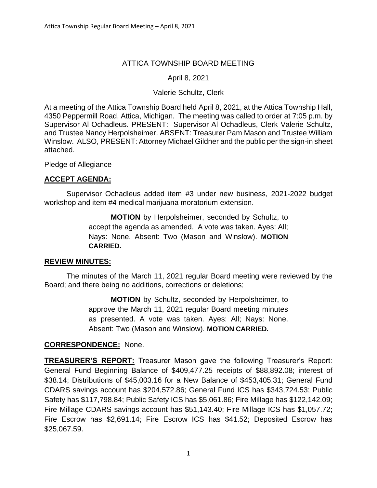# ATTICA TOWNSHIP BOARD MEETING

# April 8, 2021

### Valerie Schultz, Clerk

At a meeting of the Attica Township Board held April 8, 2021, at the Attica Township Hall, 4350 Peppermill Road, Attica, Michigan. The meeting was called to order at 7:05 p.m. by Supervisor Al Ochadleus. PRESENT: Supervisor Al Ochadleus, Clerk Valerie Schultz, and Trustee Nancy Herpolsheimer. ABSENT: Treasurer Pam Mason and Trustee William Winslow. ALSO, PRESENT: Attorney Michael Gildner and the public per the sign-in sheet attached.

Pledge of Allegiance

# **ACCEPT AGENDA:**

Supervisor Ochadleus added item #3 under new business, 2021-2022 budget workshop and item #4 medical marijuana moratorium extension.

> **MOTION** by Herpolsheimer, seconded by Schultz, to accept the agenda as amended. A vote was taken. Ayes: All; Nays: None. Absent: Two (Mason and Winslow). **MOTION CARRIED.**

### **REVIEW MINUTES:**

The minutes of the March 11, 2021 regular Board meeting were reviewed by the Board; and there being no additions, corrections or deletions;

> **MOTION** by Schultz, seconded by Herpolsheimer, to approve the March 11, 2021 regular Board meeting minutes as presented. A vote was taken. Ayes: All; Nays: None. Absent: Two (Mason and Winslow). **MOTION CARRIED.**

### **CORRESPONDENCE:** None.

**TREASURER'S REPORT:** Treasurer Mason gave the following Treasurer's Report: General Fund Beginning Balance of \$409,477.25 receipts of \$88,892.08; interest of \$38.14; Distributions of \$45,003.16 for a New Balance of \$453,405.31; General Fund CDARS savings account has \$204,572.86; General Fund ICS has \$343,724.53; Public Safety has \$117,798.84; Public Safety ICS has \$5,061.86; Fire Millage has \$122,142.09; Fire Millage CDARS savings account has \$51,143.40; Fire Millage ICS has \$1,057.72; Fire Escrow has \$2,691.14; Fire Escrow ICS has \$41.52; Deposited Escrow has \$25,067.59.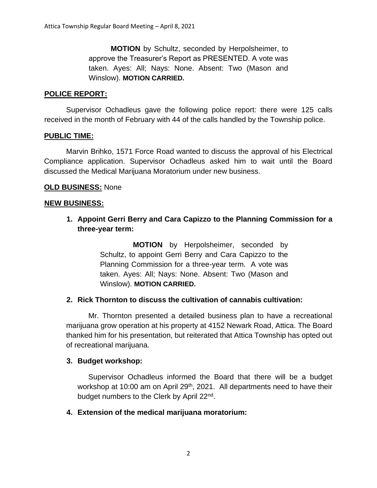**MOTION** by Schultz, seconded by Herpolsheimer, to approve the Treasurer's Report as PRESENTED. A vote was taken. Ayes: All; Nays: None. Absent: Two (Mason and Winslow). **MOTION CARRIED.**

### **POLICE REPORT:**

Supervisor Ochadleus gave the following police report: there were 125 calls received in the month of February with 44 of the calls handled by the Township police.

#### **PUBLIC TIME:**

Marvin Brihko, 1571 Force Road wanted to discuss the approval of his Electrical Compliance application. Supervisor Ochadleus asked him to wait until the Board discussed the Medical Marijuana Moratorium under new business.

#### **OLD BUSINESS:** None

#### **NEW BUSINESS:**

**1. Appoint Gerri Berry and Cara Capizzo to the Planning Commission for a three-year term:**

> **MOTION** by Herpolsheimer, seconded by Schultz, to appoint Gerri Berry and Cara Capizzo to the Planning Commission for a three-year term. A vote was taken. Ayes: All; Nays: None. Absent: Two (Mason and Winslow). **MOTION CARRIED.**

### **2. Rick Thornton to discuss the cultivation of cannabis cultivation:**

Mr. Thornton presented a detailed business plan to have a recreational marijuana grow operation at his property at 4152 Newark Road, Attica. The Board thanked him for his presentation, but reiterated that Attica Township has opted out of recreational marijuana.

#### **3. Budget workshop:**

Supervisor Ochadleus informed the Board that there will be a budget workshop at 10:00 am on April  $29<sup>th</sup>$ , 2021. All departments need to have their budget numbers to the Clerk by April 22<sup>nd</sup>.

#### **4. Extension of the medical marijuana moratorium:**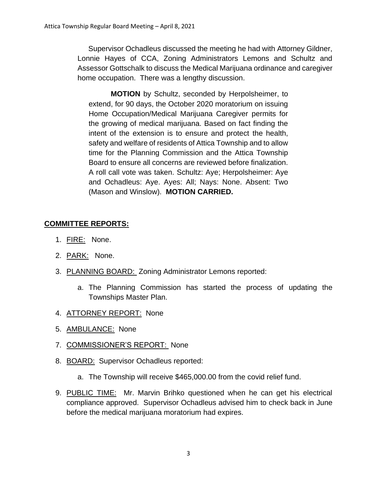Supervisor Ochadleus discussed the meeting he had with Attorney Gildner, Lonnie Hayes of CCA, Zoning Administrators Lemons and Schultz and Assessor Gottschalk to discuss the Medical Marijuana ordinance and caregiver home occupation. There was a lengthy discussion.

**MOTION** by Schultz, seconded by Herpolsheimer, to extend, for 90 days, the October 2020 moratorium on issuing Home Occupation/Medical Marijuana Caregiver permits for the growing of medical marijuana. Based on fact finding the intent of the extension is to ensure and protect the health, safety and welfare of residents of Attica Township and to allow time for the Planning Commission and the Attica Township Board to ensure all concerns are reviewed before finalization. A roll call vote was taken. Schultz: Aye; Herpolsheimer: Aye and Ochadleus: Aye. Ayes: All; Nays: None. Absent: Two (Mason and Winslow). **MOTION CARRIED.**

# **COMMITTEE REPORTS:**

- 1. FIRE: None.
- 2. PARK: None.
- 3. PLANNING BOARD: Zoning Administrator Lemons reported:
	- a. The Planning Commission has started the process of updating the Townships Master Plan.
- 4. ATTORNEY REPORT: None
- 5. AMBULANCE: None
- 7. COMMISSIONER'S REPORT: None
- 8. BOARD: Supervisor Ochadleus reported:
	- a. The Township will receive \$465,000.00 from the covid relief fund.
- 9. PUBLIC TIME: Mr. Marvin Brihko questioned when he can get his electrical compliance approved. Supervisor Ochadleus advised him to check back in June before the medical marijuana moratorium had expires.